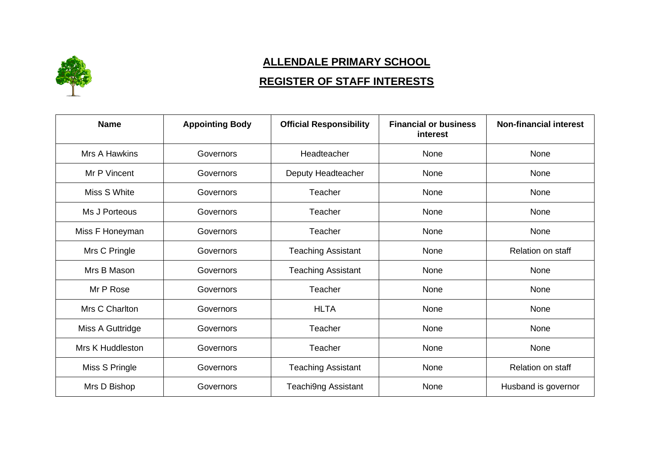

## **ALLENDALE PRIMARY SCHOOL**

## **REGISTER OF STAFF INTERESTS**

| <b>Name</b>          | <b>Appointing Body</b> | <b>Official Responsibility</b> | <b>Financial or business</b><br>interest | <b>Non-financial interest</b> |
|----------------------|------------------------|--------------------------------|------------------------------------------|-------------------------------|
| <b>Mrs A Hawkins</b> | Governors              | Headteacher                    | None                                     | None                          |
| Mr P Vincent         | Governors              | Deputy Headteacher             | None                                     | None                          |
| Miss S White         | Governors              | Teacher                        | None                                     | None                          |
| Ms J Porteous        | Governors              | Teacher                        | None                                     | None                          |
| Miss F Honeyman      | Governors              | Teacher                        | None                                     | None                          |
| Mrs C Pringle        | Governors              | <b>Teaching Assistant</b>      | None                                     | <b>Relation on staff</b>      |
| Mrs B Mason          | Governors              | <b>Teaching Assistant</b>      | None                                     | None                          |
| Mr P Rose            | Governors              | Teacher                        | None                                     | None                          |
| Mrs C Charlton       | Governors              | <b>HLTA</b>                    | None                                     | None                          |
| Miss A Guttridge     | Governors              | Teacher                        | None                                     | None                          |
| Mrs K Huddleston     | Governors              | Teacher                        | None                                     | None                          |
| Miss S Pringle       | Governors              | <b>Teaching Assistant</b>      | None                                     | Relation on staff             |
| Mrs D Bishop         | Governors              | Teachi9ng Assistant            | None                                     | Husband is governor           |